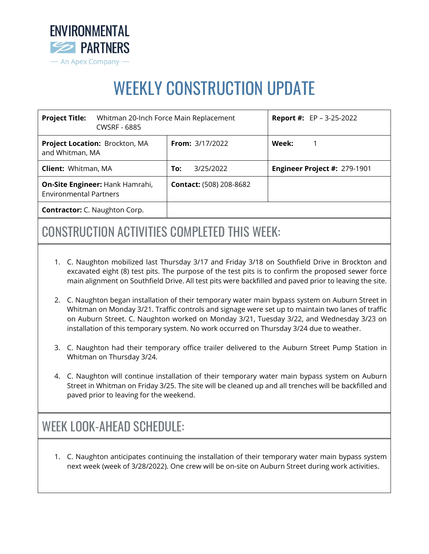

## WEEKLY CONSTRUCTION UPDATE

| <b>Project Title:</b><br>Whitman 20-Inch Force Main Replacement<br><b>CWSRF - 6885</b> |                                | <b>Report #:</b> $EP - 3-25-2022$ |
|----------------------------------------------------------------------------------------|--------------------------------|-----------------------------------|
| Project Location: Brockton, MA<br>and Whitman, MA                                      | <b>From: 3/17/2022</b>         | Week:                             |
| <b>Client: Whitman, MA</b>                                                             | To:<br>3/25/2022               | Engineer Project #: 279-1901      |
| On-Site Engineer: Hank Hamrahi,<br><b>Environmental Partners</b>                       | <b>Contact: (508) 208-8682</b> |                                   |
| <b>Contractor:</b> C. Naughton Corp.                                                   |                                |                                   |

## CONSTRUCTION ACTIVITIES COMPLETED THIS WEEK:

- 1. C. Naughton mobilized last Thursday 3/17 and Friday 3/18 on Southfield Drive in Brockton and excavated eight (8) test pits. The purpose of the test pits is to confirm the proposed sewer force main alignment on Southfield Drive. All test pits were backfilled and paved prior to leaving the site.
- 2. C. Naughton began installation of their temporary water main bypass system on Auburn Street in Whitman on Monday 3/21. Traffic controls and signage were set up to maintain two lanes of traffic on Auburn Street. C. Naughton worked on Monday 3/21, Tuesday 3/22, and Wednesday 3/23 on installation of this temporary system. No work occurred on Thursday 3/24 due to weather.
- 3. C. Naughton had their temporary office trailer delivered to the Auburn Street Pump Station in Whitman on Thursday 3/24.
- 4. C. Naughton will continue installation of their temporary water main bypass system on Auburn Street in Whitman on Friday 3/25. The site will be cleaned up and all trenches will be backfilled and paved prior to leaving for the weekend.

## WEEK LOOK-AHEAD SCHEDULE:

1. C. Naughton anticipates continuing the installation of their temporary water main bypass system next week (week of 3/28/2022). One crew will be on-site on Auburn Street during work activities.